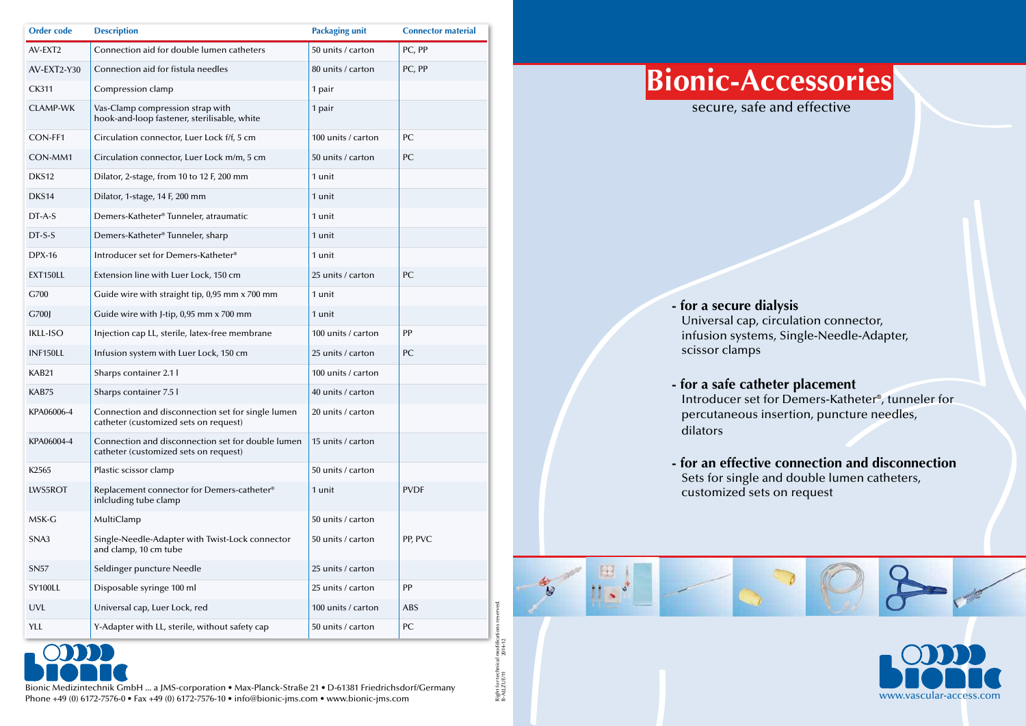Bionic Medizintechnik GmbH ... a JMS-corporation • Max-Planck-Straße 21 • D-61381 Friedrichsdorf/Germany Phone +49 (0) 6172-7576-0 • Fax +49 (0) 6172-7576-10 • info@bionic-jms.com • www.bionic-jms.com

| <b>Order code</b> | <b>Description</b>                                                                         | <b>Packaging unit</b> | <b>Connector material</b> |
|-------------------|--------------------------------------------------------------------------------------------|-----------------------|---------------------------|
| AV-EXT2           | Connection aid for double lumen catheters                                                  | 50 units / carton     | PC, PP                    |
| AV-EXT2-Y30       | Connection aid for fistula needles                                                         | 80 units / carton     | PC, PP                    |
| <b>CK311</b>      | Compression clamp                                                                          | 1 pair                |                           |
| <b>CLAMP-WK</b>   | Vas-Clamp compression strap with<br>hook-and-loop fastener, sterilisable, white            | 1 pair                |                           |
| CON-FF1           | Circulation connector, Luer Lock f/f, 5 cm                                                 | 100 units / carton    | PC                        |
| CON-MM1           | Circulation connector, Luer Lock m/m, 5 cm                                                 | 50 units / carton     | PC                        |
| DKS12             | Dilator, 2-stage, from 10 to 12 F, 200 mm                                                  | 1 unit                |                           |
| DKS14             | Dilator, 1-stage, 14 F, 200 mm                                                             | 1 unit                |                           |
| DT-A-S            | Demers-Katheter® Tunneler, atraumatic                                                      | 1 unit                |                           |
| $DT-S-S$          | Demers-Katheter® Tunneler, sharp                                                           | 1 unit                |                           |
| <b>DPX-16</b>     | Introducer set for Demers-Katheter®                                                        | 1 unit                |                           |
| <b>EXT150LL</b>   | Extension line with Luer Lock, 150 cm                                                      | 25 units / carton     | PC                        |
| G700              | Guide wire with straight tip, 0,95 mm x 700 mm                                             | 1 unit                |                           |
| G700J             | Guide wire with J-tip, 0,95 mm x 700 mm                                                    | 1 unit                |                           |
| <b>IKLL-ISO</b>   | Injection cap LL, sterile, latex-free membrane                                             | 100 units / carton    | PP                        |
| <b>INF150LL</b>   | Infusion system with Luer Lock, 150 cm                                                     | 25 units / carton     | PC                        |
| KAB21             | Sharps container 2.1 l                                                                     | 100 units / carton    |                           |
| KAB75             | Sharps container 7.5 l                                                                     | 40 units / carton     |                           |
| KPA06006-4        | Connection and disconnection set for single lumen<br>catheter (customized sets on request) | 20 units / carton     |                           |
| KPA06004-4        | Connection and disconnection set for double lumen<br>catheter (customized sets on request) | 15 units / carton     |                           |
| K <sub>2565</sub> | Plastic scissor clamp                                                                      | 50 units / carton     |                           |
| LWS5ROT           | Replacement connector for Demers-catheter®<br>inlcluding tube clamp                        | 1 unit                | <b>PVDF</b>               |
| MSK-G             | MultiClamp                                                                                 | 50 units / carton     |                           |
| SNA3              | Single-Needle-Adapter with Twist-Lock connector<br>and clamp, 10 cm tube                   | 50 units / carton     | PP, PVC                   |
| <b>SN57</b>       | Seldinger puncture Needle                                                                  | 25 units / carton     |                           |
| SY100LL           | Disposable syringe 100 ml                                                                  | 25 units / carton     | PP                        |
| <b>UVL</b>        | Universal cap, Luer Lock, red                                                              | 100 units / carton    | <b>ABS</b>                |
| <b>YLL</b>        | Y-Adapter with LL, sterile, without safety cap                                             | 50 units / carton     | PC                        |





Universal cap, circulation connector, infusion systems, Single-Needle-Adapter,

- **for a secure dialysis** scissor clamps
- **for a safe catheter placement** dilators
- Sets for single and double lumen catheters, customized sets on request

Introducer set for Demers-Katheter®, tunneler for percutaneous insertion, puncture needles,

**- for an effective connection and disconnection**